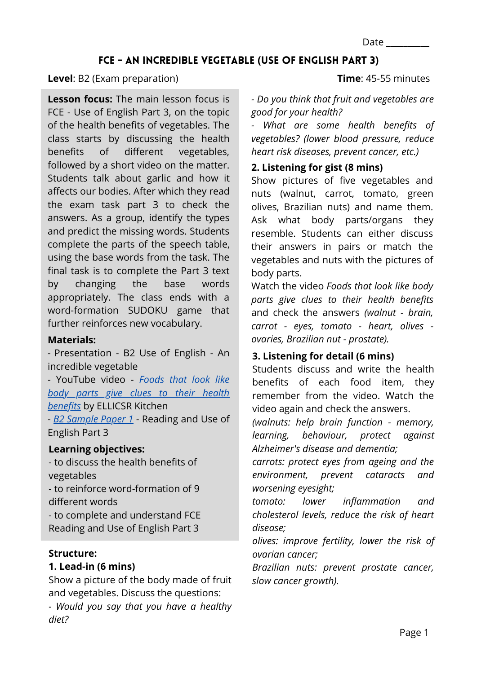Date \_\_\_\_\_\_\_\_\_\_

# FCE - AN INCREDIBLE VEGETABLE **(**USE OF ENGLISH PART 3**)**

#### **Level**: B2 (Exam preparation)

**Lesson focus:** The main lesson focus is FCE - Use of English Part 3, on the topic of the health benefits of vegetables. The class starts by discussing the health benefits of different vegetables, followed by a short video on the matter. Students talk about garlic and how it affects our bodies. After which they read the exam task part 3 to check the answers. As a group, identify the types and predict the missing words. Students complete the parts of the speech table, using the base words from the task. The final task is to complete the Part 3 text by changing the base words appropriately. The class ends with a word-formation SUDOKU game that further reinforces new vocabulary.

### **Materials:**

*-* Presentation - B2 Use of English - An incredible vegetable

- YouTube video - *Foods that look like [body parts give clues to their health](https://www.youtube.com/watch?v=9WxSExNZUcA&t=3s) benefits* by ELLICSR Kitchen - *[B2 Sample Paper 1](https://www.cambridgeenglish.org/Images/174037-b2-first-sample-paper-1.zip)* - Reading and Use of

English Part 3

### **Learning objectives:**

- to discuss the health benefits of vegetables

- to reinforce word-formation of 9 different words

- to complete and understand FCE Reading and Use of English Part 3

### **Structure:**

*diet?*

### **1. Lead-in (6 mins)**

Show a picture of the body made of fruit and vegetables. Discuss the questions: - *Would you say that you have a healthy* **Time**: 45-55 minutes

*- Do you think that fruit and vegetables are good for your health?*

*- What are some health benefits of vegetables? (lower blood pressure, reduce heart risk diseases, prevent cancer, etc.)*

## **2. Listening for gist (8 mins)**

Show pictures of five vegetables and nuts (walnut, carrot, tomato, green olives, Brazilian nuts) and name them. Ask what body parts/organs they resemble. Students can either discuss their answers in pairs or match the vegetables and nuts with the pictures of body parts.

Watch the video *Foods that look like body parts give clues to their health benefits* and check the answers *(walnut - brain, carrot - eyes, tomato - heart, olives ovaries, Brazilian nut - prostate).*

# **3. Listening for detail (6 mins)**

Students discuss and write the health benefits of each food item, they remember from the video. Watch the video again and check the answers.

*(walnuts: help brain function - memory, learning, behaviour, protect against Alzheimer's disease and dementia;*

*carrots: protect eyes from ageing and the environment, prevent cataracts and worsening eyesight;*

*tomato: lower inflammation and cholesterol levels, reduce the risk of heart disease;*

*olives: improve fertility, lower the risk of ovarian cancer;*

*Brazilian nuts: prevent prostate cancer, slow cancer growth).*